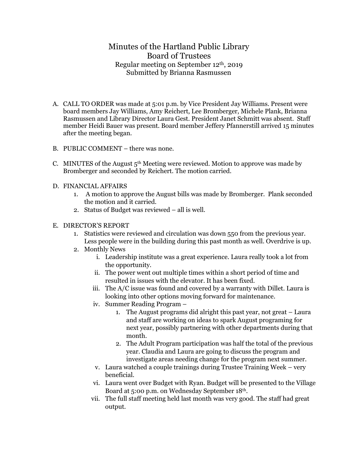## Minutes of the Hartland Public Library Board of Trustees Regular meeting on September 12th, 2019 Submitted by Brianna Rasmussen

- A. CALL TO ORDER was made at 5:01 p.m. by Vice President Jay Williams. Present were board members Jay Williams, Amy Reichert, Lee Bromberger, Michele Plank, Brianna Rasmussen and Library Director Laura Gest. President Janet Schmitt was absent. Staff member Heidi Bauer was present. Board member Jeffery Pfannerstill arrived 15 minutes after the meeting began.
- B. PUBLIC COMMENT there was none.
- C. MINUTES of the August  $5<sup>th</sup>$  Meeting were reviewed. Motion to approve was made by Bromberger and seconded by Reichert. The motion carried.
- D. FINANCIAL AFFAIRS
	- 1. A motion to approve the August bills was made by Bromberger. Plank seconded the motion and it carried.
	- 2. Status of Budget was reviewed all is well.

## E. DIRECTOR'S REPORT

- 1. Statistics were reviewed and circulation was down 550 from the previous year. Less people were in the building during this past month as well. Overdrive is up.
- 2. Monthly News
	- i. Leadership institute was a great experience. Laura really took a lot from the opportunity.
	- ii. The power went out multiple times within a short period of time and resulted in issues with the elevator. It has been fixed.
	- iii. The A/C issue was found and covered by a warranty with Dillet. Laura is looking into other options moving forward for maintenance.
	- iv. Summer Reading Program
		- 1. The August programs did alright this past year, not great Laura and staff are working on ideas to spark August programing for next year, possibly partnering with other departments during that month.
		- 2. The Adult Program participation was half the total of the previous year. Claudia and Laura are going to discuss the program and investigate areas needing change for the program next summer.
	- v. Laura watched a couple trainings during Trustee Training Week very beneficial.
	- vi. Laura went over Budget with Ryan. Budget will be presented to the Village Board at 5:00 p.m. on Wednesday September 18th.
	- vii. The full staff meeting held last month was very good. The staff had great output.